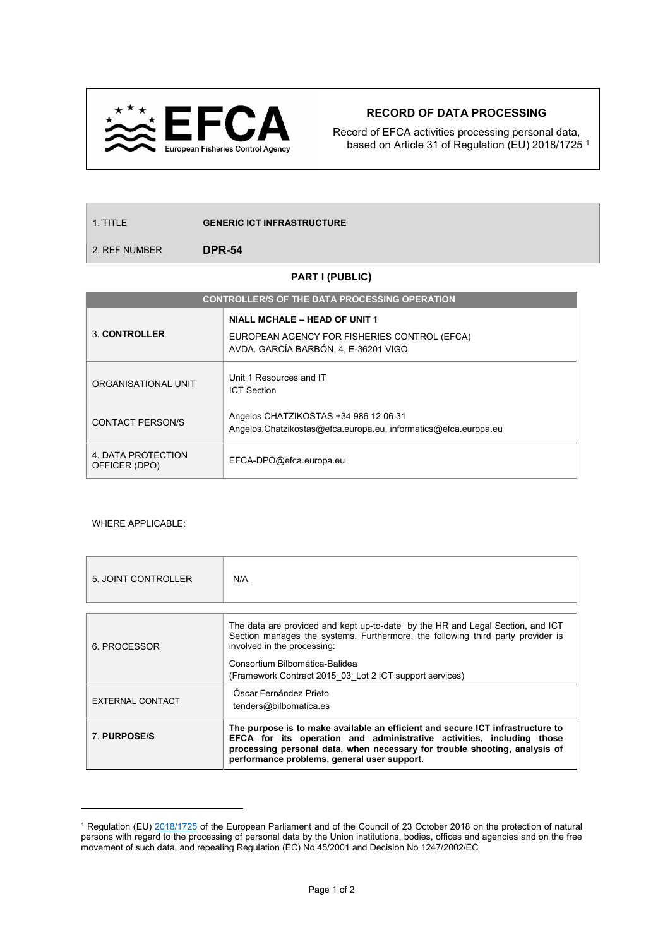

## RECORD OF DATA PROCESSING

Record of EFCA activities processing personal data, based on Article 31 of Regulation (EU) 2018/1725 <sup>1</sup>

1. TITLE **GENERIC ICT INFRASTRUCTURE** 

2. REF NUMBER **DPR-54** 

## PART I (PUBLIC)

| <b>CONTROLLER/S OF THE DATA PROCESSING OPERATION</b> |                                                                                                          |  |  |  |
|------------------------------------------------------|----------------------------------------------------------------------------------------------------------|--|--|--|
|                                                      | NIALL MCHALE - HEAD OF UNIT 1                                                                            |  |  |  |
| 3. CONTROLLER                                        | EUROPEAN AGENCY FOR FISHERIES CONTROL (EFCA)<br>AVDA. GARCÍA BARBÓN, 4, E-36201 VIGO                     |  |  |  |
| ORGANISATIONAL UNIT                                  | Unit 1 Resources and IT<br><b>ICT Section</b>                                                            |  |  |  |
| <b>CONTACT PERSON/S</b>                              | Angelos CHATZIKOSTAS +34 986 12 06 31<br>Angelos.Chatzikostas@efca.europa.eu, informatics@efca.europa.eu |  |  |  |
| 4. DATA PROTECTION<br>OFFICER (DPO)                  | EFCA-DPO@efca.europa.eu                                                                                  |  |  |  |

## WHERE APPLICABLE:

 $\overline{a}$ 

| 5. JOINT CONTROLLER | N/A                                                                                                                                                                                                                                                                                  |  |  |  |  |
|---------------------|--------------------------------------------------------------------------------------------------------------------------------------------------------------------------------------------------------------------------------------------------------------------------------------|--|--|--|--|
|                     |                                                                                                                                                                                                                                                                                      |  |  |  |  |
| 6. PROCESSOR        | The data are provided and kept up-to-date by the HR and Legal Section, and ICT<br>Section manages the systems. Furthermore, the following third party provider is<br>involved in the processing:                                                                                     |  |  |  |  |
|                     | Consortium Bilbomática-Balidea<br>(Framework Contract 2015 03 Lot 2 ICT support services)                                                                                                                                                                                            |  |  |  |  |
| EXTERNAL CONTACT    | Óscar Fernández Prieto<br>tenders@bilbomatica.es                                                                                                                                                                                                                                     |  |  |  |  |
| 7 PURPOSE/S         | The purpose is to make available an efficient and secure ICT infrastructure to<br>EFCA for its operation and administrative activities, including those<br>processing personal data, when necessary for trouble shooting, analysis of<br>performance problems, general user support. |  |  |  |  |

<sup>&</sup>lt;sup>1</sup> Regulation (EU) 2018/1725 of the European Parliament and of the Council of 23 October 2018 on the protection of natural persons with regard to the processing of personal data by the Union institutions, bodies, offices and agencies and on the free movement of such data, and repealing Regulation (EC) No 45/2001 and Decision No 1247/2002/EC